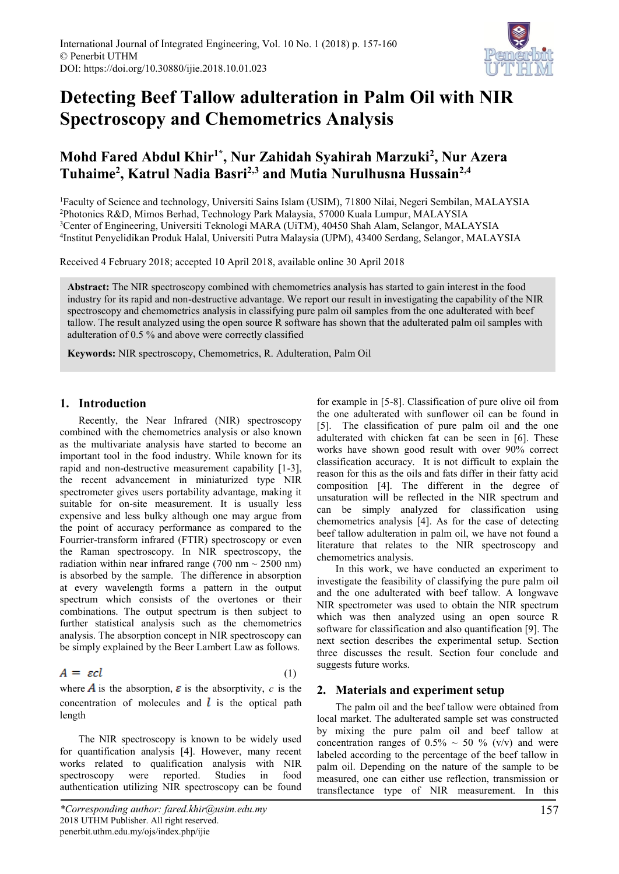

# **Detecting Beef Tallow adulteration in Palm Oil with NIR Spectroscopy and Chemometrics Analysis**

# **Mohd Fared Abdul Khir1\*, Nur Zahidah Syahirah Marzuki<sup>2</sup> , Nur Azera Tuhaime<sup>2</sup> , Katrul Nadia Basri2,3 and Mutia Nurulhusna Hussain2,4**

Faculty of Science and technology, Universiti Sains Islam (USIM), 71800 Nilai, Negeri Sembilan, MALAYSIA Photonics R&D, Mimos Berhad, Technology Park Malaysia, 57000 Kuala Lumpur, MALAYSIA Center of Engineering, Universiti Teknologi MARA (UiTM), 40450 Shah Alam, Selangor, MALAYSIA Institut Penyelidikan Produk Halal, Universiti Putra Malaysia (UPM), 43400 Serdang, Selangor, MALAYSIA

Received 4 February 2018; accepted 10 April 2018, available online 30 April 2018

**Abstract:** The NIR spectroscopy combined with chemometrics analysis has started to gain interest in the food industry for its rapid and non-destructive advantage. We report our result in investigating the capability of the NIR spectroscopy and chemometrics analysis in classifying pure palm oil samples from the one adulterated with beef tallow. The result analyzed using the open source R software has shown that the adulterated palm oil samples with adulteration of 0.5 % and above were correctly classified

**Keywords:** NIR spectroscopy, Chemometrics, R. Adulteration, Palm Oil

# **1. Introduction**

Recently, the Near Infrared (NIR) spectroscopy combined with the chemometrics analysis or also known as the multivariate analysis have started to become an important tool in the food industry. While known for its rapid and non-destructive measurement capability [1-3], the recent advancement in miniaturized type NIR spectrometer gives users portability advantage, making it suitable for on-site measurement. It is usually less expensive and less bulky although one may argue from the point of accuracy performance as compared to the Fourrier-transform infrared (FTIR) spectroscopy or even the Raman spectroscopy. In NIR spectroscopy, the radiation within near infrared range (700 nm  $\sim$  2500 nm) is absorbed by the sample. The difference in absorption at every wavelength forms a pattern in the output spectrum which consists of the overtones or their combinations. The output spectrum is then subject to further statistical analysis such as the chemometrics analysis. The absorption concept in NIR spectroscopy can be simply explained by the Beer Lambert Law as follows.

$$
A = \varepsilon cl \tag{1}
$$

where **A** is the absorption,  $\varepsilon$  is the absorptivity, *c* is the concentration of molecules and  $\ell$  is the optical path length

The NIR spectroscopy is known to be widely used for quantification analysis [4]. However, many recent works related to qualification analysis with NIR spectroscopy were reported. Studies in food authentication utilizing NIR spectroscopy can be found

for example in [5-8]. Classification of pure olive oil from the one adulterated with sunflower oil can be found in [5]. The classification of pure palm oil and the one adulterated with chicken fat can be seen in [6]. These works have shown good result with over 90% correct classification accuracy. It is not difficult to explain the reason for this as the oils and fats differ in their fatty acid composition [4]. The different in the degree of unsaturation will be reflected in the NIR spectrum and can be simply analyzed for classification using chemometrics analysis [4]. As for the case of detecting beef tallow adulteration in palm oil, we have not found a literature that relates to the NIR spectroscopy and chemometrics analysis.

In this work, we have conducted an experiment to investigate the feasibility of classifying the pure palm oil and the one adulterated with beef tallow. A longwave NIR spectrometer was used to obtain the NIR spectrum which was then analyzed using an open source R software for classification and also quantification [9]. The next section describes the experimental setup. Section three discusses the result. Section four conclude and suggests future works.

## **2. Materials and experiment setup**

The palm oil and the beef tallow were obtained from local market. The adulterated sample set was constructed by mixing the pure palm oil and beef tallow at concentration ranges of  $0.5\% \sim 50 \%$  (v/v) and were labeled according to the percentage of the beef tallow in palm oil. Depending on the nature of the sample to be measured, one can either use reflection, transmission or transflectance type of NIR measurement. In this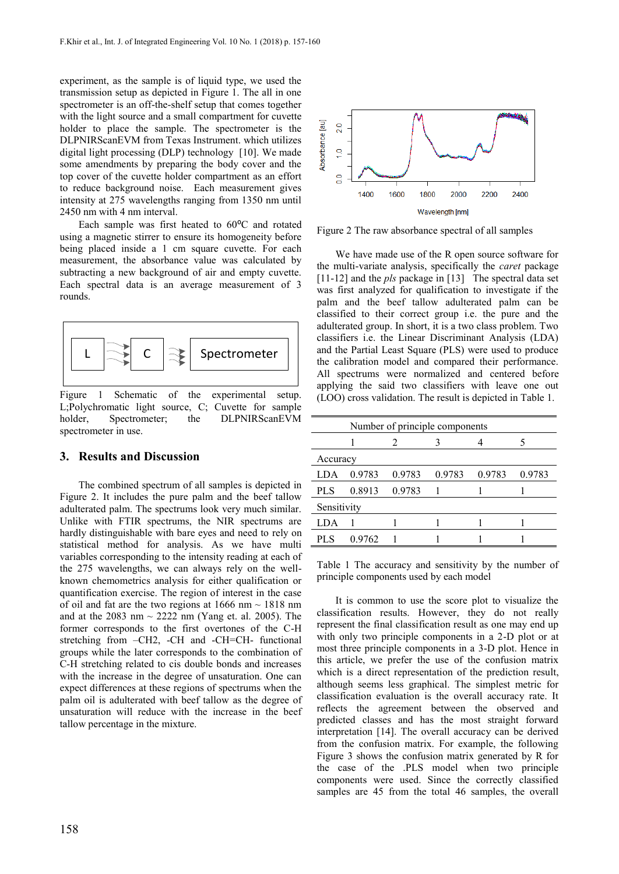experiment, as the sample is of liquid type, we used the transmission setup as depicted in Figure 1. The all in one spectrometer is an off-the-shelf setup that comes together with the light source and a small compartment for cuvette holder to place the sample. The spectrometer is the DLPNIRScanEVM from Texas Instrument. which utilizes digital light processing (DLP) technology [10]. We made some amendments by preparing the body cover and the top cover of the cuvette holder compartment as an effort to reduce background noise. Each measurement gives intensity at 275 wavelengths ranging from 1350 nm until 2450 nm with 4 nm interval.

Each sample was first heated to  $60^{\circ}$ C and rotated using a magnetic stirrer to ensure its homogeneity before being placed inside a 1 cm square cuvette. For each measurement, the absorbance value was calculated by subtracting a new background of air and empty cuvette. Each spectral data is an average measurement of 3 rounds.



Figure 1 Schematic of the experimental setup. L;Polychromatic light source, C; Cuvette for sample holder, Spectrometer; the DLPNIRScanEVM spectrometer in use.

### **3. Results and Discussion**

The combined spectrum of all samples is depicted in Figure 2. It includes the pure palm and the beef tallow adulterated palm. The spectrums look very much similar. Unlike with FTIR spectrums, the NIR spectrums are hardly distinguishable with bare eyes and need to rely on statistical method for analysis. As we have multi variables corresponding to the intensity reading at each of the 275 wavelengths, we can always rely on the wellknown chemometrics analysis for either qualification or quantification exercise. The region of interest in the case of oil and fat are the two regions at 1666 nm  $\sim$  1818 nm and at the 2083 nm  $\sim$  2222 nm (Yang et. al. 2005). The former corresponds to the first overtones of the C-H stretching from –CH2, -CH and -CH=CH- functional groups while the later corresponds to the combination of C-H stretching related to cis double bonds and increases with the increase in the degree of unsaturation. One can expect differences at these regions of spectrums when the palm oil is adulterated with beef tallow as the degree of unsaturation will reduce with the increase in the beef tallow percentage in the mixture.



Figure 2 The raw absorbance spectral of all samples

We have made use of the R open source software for the multi-variate analysis, specifically the *caret* package [11-12] and the *pls* package in [13] The spectral data set was first analyzed for qualification to investigate if the palm and the beef tallow adulterated palm can be classified to their correct group i.e. the pure and the adulterated group. In short, it is a two class problem. Two classifiers i.e. the Linear Discriminant Analysis (LDA) and the Partial Least Square (PLS) were used to produce the calibration model and compared their performance. All spectrums were normalized and centered before applying the said two classifiers with leave one out (LOO) cross validation. The result is depicted in Table 1.

| Number of principle components |        |        |        |        |        |
|--------------------------------|--------|--------|--------|--------|--------|
|                                |        |        |        |        |        |
| Accuracy                       |        |        |        |        |        |
| LDA                            | 0.9783 | 0.9783 | 0.9783 | 0.9783 | 0.9783 |
| PLS                            | 0.8913 | 0.9783 |        |        |        |
| Sensitivity                    |        |        |        |        |        |
| LDA                            |        |        |        |        |        |
| PL S                           | 0.9762 |        |        |        |        |

Table 1 The accuracy and sensitivity by the number of principle components used by each model

It is common to use the score plot to visualize the classification results. However, they do not really represent the final classification result as one may end up with only two principle components in a 2-D plot or at most three principle components in a 3-D plot. Hence in this article, we prefer the use of the confusion matrix which is a direct representation of the prediction result, although seems less graphical. The simplest metric for classification evaluation is the overall accuracy rate. It reflects the agreement between the observed and predicted classes and has the most straight forward interpretation [14]. The overall accuracy can be derived from the confusion matrix. For example, the following Figure 3 shows the confusion matrix generated by R for the case of the .PLS model when two principle components were used. Since the correctly classified samples are 45 from the total 46 samples, the overall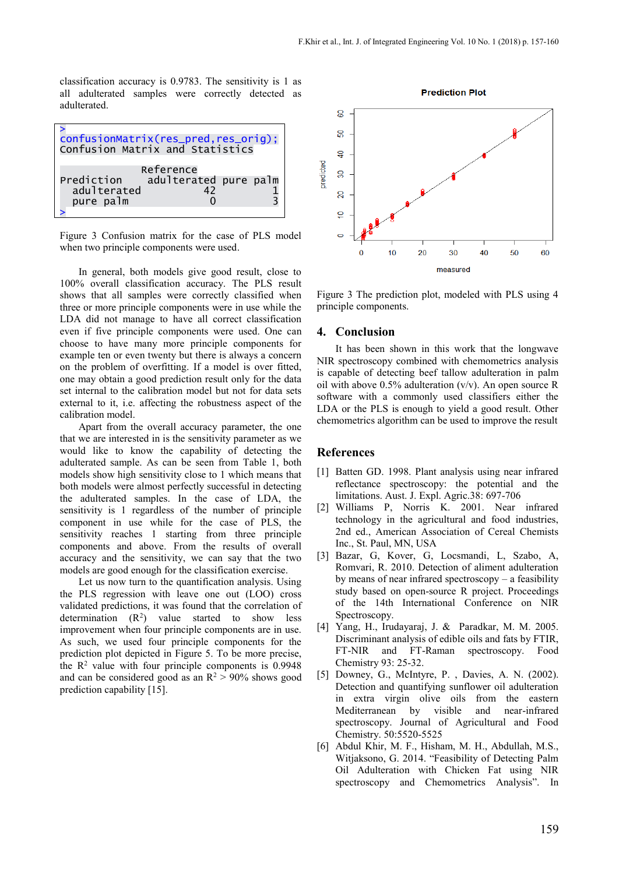classification accuracy is 0.9783. The sensitivity is 1 as all adulterated samples were correctly detected as adulterated.



Figure 3 Confusion matrix for the case of PLS model when two principle components were used.

In general, both models give good result, close to 100% overall classification accuracy. The PLS result shows that all samples were correctly classified when three or more principle components were in use while the LDA did not manage to have all correct classification even if five principle components were used. One can choose to have many more principle components for example ten or even twenty but there is always a concern on the problem of overfitting. If a model is over fitted, one may obtain a good prediction result only for the data set internal to the calibration model but not for data sets external to it, i.e. affecting the robustness aspect of the calibration model.

Apart from the overall accuracy parameter, the one that we are interested in is the sensitivity parameter as we would like to know the capability of detecting the adulterated sample. As can be seen from Table 1, both models show high sensitivity close to 1 which means that both models were almost perfectly successful in detecting the adulterated samples. In the case of LDA, the sensitivity is 1 regardless of the number of principle component in use while for the case of PLS, the sensitivity reaches 1 starting from three principle components and above. From the results of overall accuracy and the sensitivity, we can say that the two models are good enough for the classification exercise.

Let us now turn to the quantification analysis. Using the PLS regression with leave one out (LOO) cross validated predictions, it was found that the correlation of determination  $(R^2)$  value started to show less improvement when four principle components are in use. As such, we used four principle components for the prediction plot depicted in Figure 5. To be more precise, the  $\mathbb{R}^2$  value with four principle components is 0.9948 and can be considered good as an  $R^2 > 90\%$  shows good prediction capability [15].



Figure 3 The prediction plot, modeled with PLS using 4 principle components.

#### **4. Conclusion**

It has been shown in this work that the longwave NIR spectroscopy combined with chemometrics analysis is capable of detecting beef tallow adulteration in palm oil with above  $0.5\%$  adulteration  $(v/v)$ . An open source R software with a commonly used classifiers either the LDA or the PLS is enough to yield a good result. Other chemometrics algorithm can be used to improve the result

#### **References**

- [1] Batten GD. 1998. Plant analysis using near infrared reflectance spectroscopy: the potential and the limitations. Aust. J. Expl. Agric.38: 697-706
- [2] Williams P, Norris K. 2001. Near infrared technology in the agricultural and food industries, 2nd ed., American Association of Cereal Chemists Inc., St. Paul, MN, USA
- [3] Bazar, G, Kover, G, Locsmandi, L, Szabo, A, Romvari, R. 2010. Detection of aliment adulteration by means of near infrared spectroscopy – a feasibility study based on open-source R project. Proceedings of the 14th International Conference on NIR Spectroscopy.
- [4] Yang, H., Irudayaraj, J. & Paradkar, M. M. 2005. Discriminant analysis of edible oils and fats by FTIR, FT-NIR and FT-Raman spectroscopy. Food Chemistry 93: 25-32.
- [5] Downey, G., McIntyre, P. , Davies, A. N. (2002). Detection and quantifying sunflower oil adulteration in extra virgin olive oils from the eastern Mediterranean by visible and near-infrared spectroscopy. Journal of Agricultural and Food Chemistry. 50:5520-5525
- [6] Abdul Khir, M. F., Hisham, M. H., Abdullah, M.S., Witjaksono, G. 2014. "Feasibility of Detecting Palm Oil Adulteration with Chicken Fat using NIR spectroscopy and Chemometrics Analysis". In